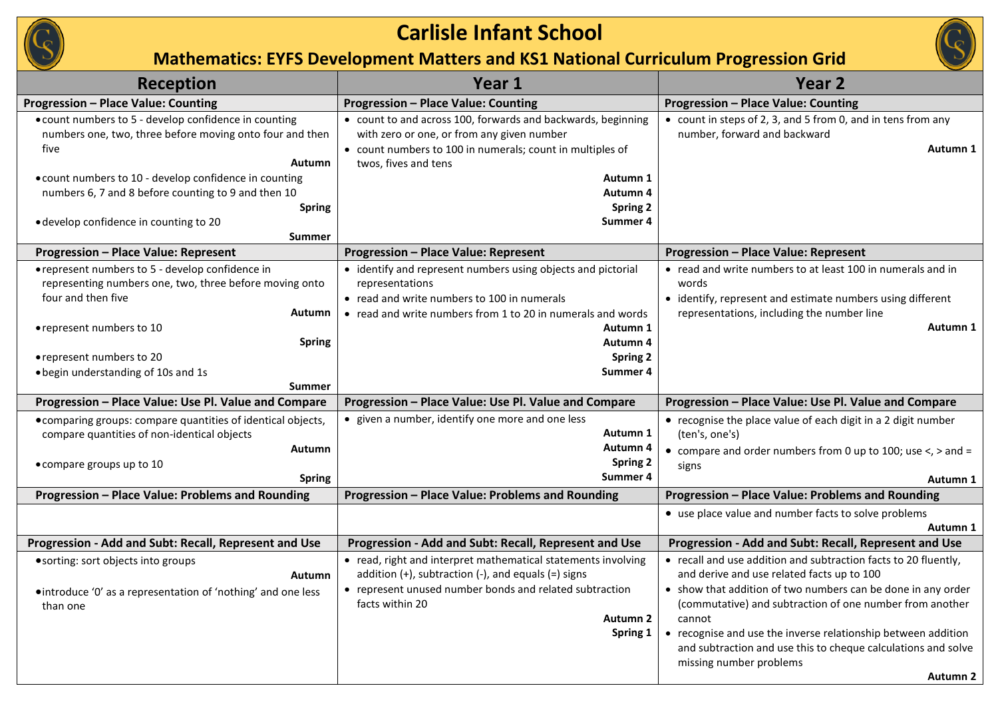

| <b>Reception</b>                                                                                                                                                                                                                                                                                                                 | Year 1                                                                                                                                                                                                                                                 | <b>Year 2</b>                                                                                                                                                                                                                                                                                                                                                                                                                |
|----------------------------------------------------------------------------------------------------------------------------------------------------------------------------------------------------------------------------------------------------------------------------------------------------------------------------------|--------------------------------------------------------------------------------------------------------------------------------------------------------------------------------------------------------------------------------------------------------|------------------------------------------------------------------------------------------------------------------------------------------------------------------------------------------------------------------------------------------------------------------------------------------------------------------------------------------------------------------------------------------------------------------------------|
| <b>Progression - Place Value: Counting</b>                                                                                                                                                                                                                                                                                       | <b>Progression - Place Value: Counting</b>                                                                                                                                                                                                             | <b>Progression - Place Value: Counting</b>                                                                                                                                                                                                                                                                                                                                                                                   |
| • count numbers to 5 - develop confidence in counting<br>numbers one, two, three before moving onto four and then<br>five<br>Autumn<br>• count numbers to 10 - develop confidence in counting<br>numbers 6, 7 and 8 before counting to 9 and then 10<br><b>Spring</b><br>• develop confidence in counting to 20<br><b>Summer</b> | • count to and across 100, forwards and backwards, beginning<br>with zero or one, or from any given number<br>• count numbers to 100 in numerals; count in multiples of<br>twos, fives and tens<br>Autumn 1<br>Autumn 4<br><b>Spring 2</b><br>Summer 4 | • count in steps of 2, 3, and 5 from 0, and in tens from any<br>number, forward and backward<br>Autumn 1                                                                                                                                                                                                                                                                                                                     |
| <b>Progression - Place Value: Represent</b>                                                                                                                                                                                                                                                                                      | <b>Progression - Place Value: Represent</b>                                                                                                                                                                                                            | <b>Progression - Place Value: Represent</b>                                                                                                                                                                                                                                                                                                                                                                                  |
| • represent numbers to 5 - develop confidence in<br>representing numbers one, two, three before moving onto<br>four and then five<br>Autumn<br>• represent numbers to 10<br><b>Spring</b><br>• represent numbers to 20<br>• begin understanding of 10s and 1s<br>Summer                                                          | • identify and represent numbers using objects and pictorial<br>representations<br>• read and write numbers to 100 in numerals<br>• read and write numbers from 1 to 20 in numerals and words<br>Autumn 1<br>Autumn 4<br>Spring 2<br>Summer 4          | • read and write numbers to at least 100 in numerals and in<br>words<br>• identify, represent and estimate numbers using different<br>representations, including the number line<br>Autumn 1                                                                                                                                                                                                                                 |
| Progression - Place Value: Use Pl. Value and Compare                                                                                                                                                                                                                                                                             | Progression - Place Value: Use Pl. Value and Compare                                                                                                                                                                                                   | Progression - Place Value: Use Pl. Value and Compare                                                                                                                                                                                                                                                                                                                                                                         |
| • comparing groups: compare quantities of identical objects,<br>compare quantities of non-identical objects<br>Autumn<br>• compare groups up to 10<br><b>Spring</b>                                                                                                                                                              | • given a number, identify one more and one less<br>Autumn 1<br>Autumn 4<br><b>Spring 2</b><br>Summer 4                                                                                                                                                | • recognise the place value of each digit in a 2 digit number<br>(ten's, one's)<br>• compare and order numbers from 0 up to 100; use $\lt$ , $>$ and =<br>signs<br>Autumn 1                                                                                                                                                                                                                                                  |
| Progression - Place Value: Problems and Rounding                                                                                                                                                                                                                                                                                 | Progression - Place Value: Problems and Rounding                                                                                                                                                                                                       | Progression - Place Value: Problems and Rounding                                                                                                                                                                                                                                                                                                                                                                             |
|                                                                                                                                                                                                                                                                                                                                  |                                                                                                                                                                                                                                                        | • use place value and number facts to solve problems<br>Autumn 1                                                                                                                                                                                                                                                                                                                                                             |
| Progression - Add and Subt: Recall, Represent and Use                                                                                                                                                                                                                                                                            | Progression - Add and Subt: Recall, Represent and Use                                                                                                                                                                                                  | Progression - Add and Subt: Recall, Represent and Use                                                                                                                                                                                                                                                                                                                                                                        |
| • sorting: sort objects into groups<br><b>Autumn</b><br>• introduce 'O' as a representation of 'nothing' and one less<br>than one                                                                                                                                                                                                | • read, right and interpret mathematical statements involving<br>addition $(+)$ , subtraction $(-)$ , and equals $(=)$ signs<br>• represent unused number bonds and related subtraction<br>facts within 20<br><b>Autumn 2</b><br>Spring 1              | • recall and use addition and subtraction facts to 20 fluently,<br>and derive and use related facts up to 100<br>• show that addition of two numbers can be done in any order<br>(commutative) and subtraction of one number from another<br>cannot<br>• recognise and use the inverse relationship between addition<br>and subtraction and use this to cheque calculations and solve<br>missing number problems<br>Autumn 2 |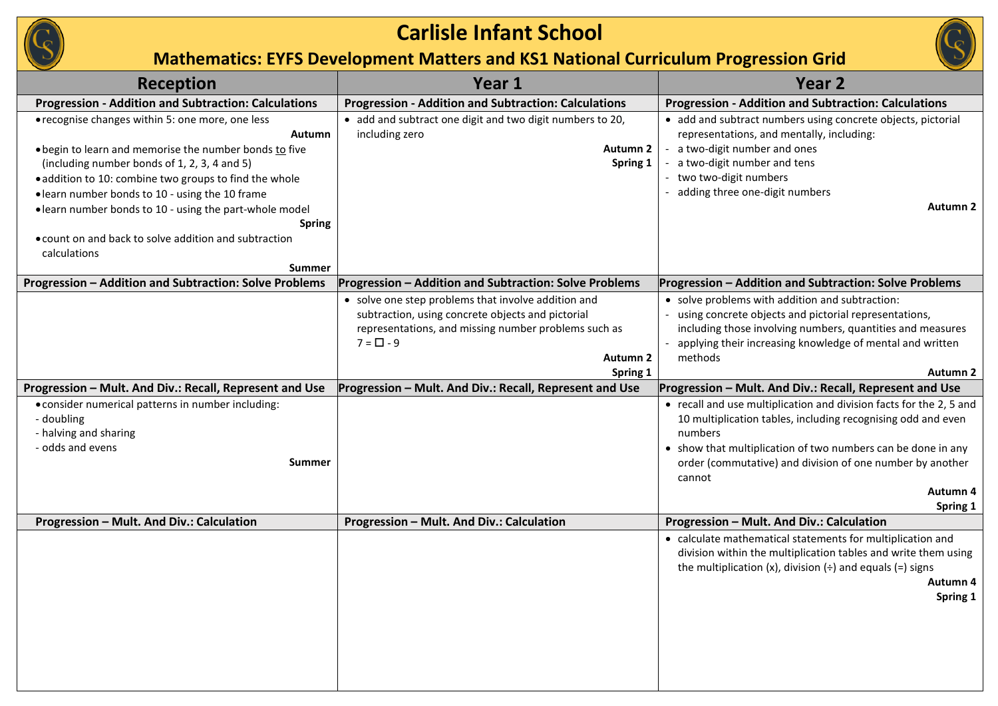

| <b>Reception</b>                                                                                                                                                                                                                                                                                                                                                                                                                                               | Year 1                                                                                                                                                                                                                                                                | Year <sub>2</sub>                                                                                                                                                                                                                                                                                                                                                                                                                                                                                                                                                                                                                          |
|----------------------------------------------------------------------------------------------------------------------------------------------------------------------------------------------------------------------------------------------------------------------------------------------------------------------------------------------------------------------------------------------------------------------------------------------------------------|-----------------------------------------------------------------------------------------------------------------------------------------------------------------------------------------------------------------------------------------------------------------------|--------------------------------------------------------------------------------------------------------------------------------------------------------------------------------------------------------------------------------------------------------------------------------------------------------------------------------------------------------------------------------------------------------------------------------------------------------------------------------------------------------------------------------------------------------------------------------------------------------------------------------------------|
| <b>Progression - Addition and Subtraction: Calculations</b>                                                                                                                                                                                                                                                                                                                                                                                                    | <b>Progression - Addition and Subtraction: Calculations</b>                                                                                                                                                                                                           | <b>Progression - Addition and Subtraction: Calculations</b>                                                                                                                                                                                                                                                                                                                                                                                                                                                                                                                                                                                |
| • recognise changes within 5: one more, one less<br><b>Autumn</b><br>. begin to learn and memorise the number bonds to five<br>(including number bonds of 1, 2, 3, 4 and 5)<br>· addition to 10: combine two groups to find the whole<br>• learn number bonds to 10 - using the 10 frame<br>• learn number bonds to 10 - using the part-whole model<br><b>Spring</b><br>• count on and back to solve addition and subtraction<br>calculations<br><b>Summer</b> | • add and subtract one digit and two digit numbers to 20,<br>including zero<br><b>Autumn 2</b><br>Spring 1                                                                                                                                                            | • add and subtract numbers using concrete objects, pictorial<br>representations, and mentally, including:<br>- a two-digit number and ones<br>- a two-digit number and tens<br>- two two-digit numbers<br>- adding three one-digit numbers<br><b>Autumn 2</b>                                                                                                                                                                                                                                                                                                                                                                              |
| Progression - Addition and Subtraction: Solve Problems                                                                                                                                                                                                                                                                                                                                                                                                         | Progression - Addition and Subtraction: Solve Problems                                                                                                                                                                                                                | Progression - Addition and Subtraction: Solve Problems                                                                                                                                                                                                                                                                                                                                                                                                                                                                                                                                                                                     |
| Progression - Mult. And Div.: Recall, Represent and Use<br>• consider numerical patterns in number including:<br>- doubling<br>- halving and sharing<br>- odds and evens<br><b>Summer</b>                                                                                                                                                                                                                                                                      | • solve one step problems that involve addition and<br>subtraction, using concrete objects and pictorial<br>representations, and missing number problems such as<br>$7 = \Box - 9$<br>Autumn 2<br>Spring 1<br>Progression - Mult. And Div.: Recall, Represent and Use | • solve problems with addition and subtraction:<br>- using concrete objects and pictorial representations,<br>including those involving numbers, quantities and measures<br>- applying their increasing knowledge of mental and written<br>methods<br>Autumn 2<br>Progression - Mult. And Div.: Recall, Represent and Use<br>• recall and use multiplication and division facts for the 2, 5 and<br>10 multiplication tables, including recognising odd and even<br>numbers<br>• show that multiplication of two numbers can be done in any<br>order (commutative) and division of one number by another<br>cannot<br>Autumn 4<br>Spring 1 |
| Progression - Mult. And Div.: Calculation                                                                                                                                                                                                                                                                                                                                                                                                                      | Progression - Mult. And Div.: Calculation                                                                                                                                                                                                                             | Progression - Mult. And Div.: Calculation                                                                                                                                                                                                                                                                                                                                                                                                                                                                                                                                                                                                  |
|                                                                                                                                                                                                                                                                                                                                                                                                                                                                |                                                                                                                                                                                                                                                                       | • calculate mathematical statements for multiplication and<br>division within the multiplication tables and write them using<br>the multiplication (x), division $(\div)$ and equals (=) signs<br>Autumn 4<br>Spring 1                                                                                                                                                                                                                                                                                                                                                                                                                     |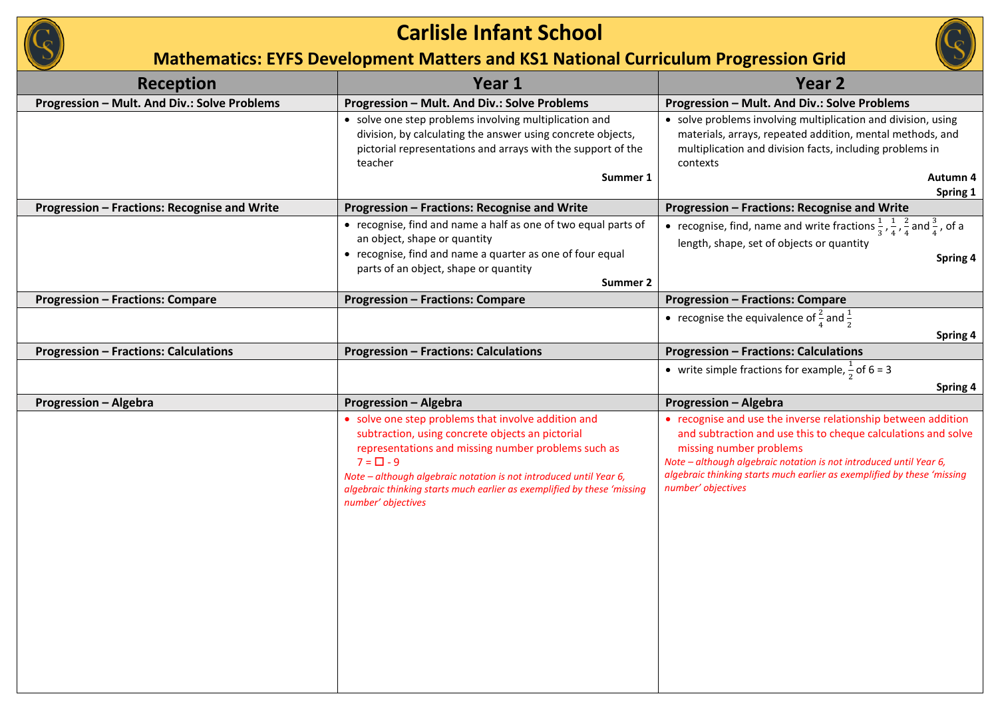

| <b>Reception</b>                             | Year 1                                                                                                                                                                                                                                                                                                                                                  | Year 2                                                                                                                                                                                                                                                                                                                           |
|----------------------------------------------|---------------------------------------------------------------------------------------------------------------------------------------------------------------------------------------------------------------------------------------------------------------------------------------------------------------------------------------------------------|----------------------------------------------------------------------------------------------------------------------------------------------------------------------------------------------------------------------------------------------------------------------------------------------------------------------------------|
| Progression - Mult. And Div.: Solve Problems | Progression - Mult. And Div.: Solve Problems                                                                                                                                                                                                                                                                                                            | Progression - Mult. And Div.: Solve Problems                                                                                                                                                                                                                                                                                     |
|                                              | • solve one step problems involving multiplication and<br>division, by calculating the answer using concrete objects,<br>pictorial representations and arrays with the support of the<br>teacher<br>Summer 1                                                                                                                                            | • solve problems involving multiplication and division, using<br>materials, arrays, repeated addition, mental methods, and<br>multiplication and division facts, including problems in<br>contexts<br>Autumn 4<br>Spring 1                                                                                                       |
| Progression - Fractions: Recognise and Write | Progression - Fractions: Recognise and Write                                                                                                                                                                                                                                                                                                            | Progression - Fractions: Recognise and Write                                                                                                                                                                                                                                                                                     |
|                                              | • recognise, find and name a half as one of two equal parts of<br>an object, shape or quantity<br>• recognise, find and name a quarter as one of four equal<br>parts of an object, shape or quantity<br>Summer 2                                                                                                                                        | • recognise, find, name and write fractions $\frac{1}{3}$ , $\frac{1}{4}$ , $\frac{2}{4}$ and $\frac{3}{4}$ , of a<br>length, shape, set of objects or quantity<br>Spring 4                                                                                                                                                      |
| <b>Progression - Fractions: Compare</b>      | <b>Progression - Fractions: Compare</b>                                                                                                                                                                                                                                                                                                                 | <b>Progression - Fractions: Compare</b>                                                                                                                                                                                                                                                                                          |
|                                              |                                                                                                                                                                                                                                                                                                                                                         | • recognise the equivalence of $\frac{2}{4}$ and $\frac{1}{2}$<br>Spring 4                                                                                                                                                                                                                                                       |
| <b>Progression - Fractions: Calculations</b> | <b>Progression - Fractions: Calculations</b>                                                                                                                                                                                                                                                                                                            | <b>Progression - Fractions: Calculations</b>                                                                                                                                                                                                                                                                                     |
|                                              |                                                                                                                                                                                                                                                                                                                                                         | • write simple fractions for example, $\frac{1}{2}$ of 6 = 3                                                                                                                                                                                                                                                                     |
| <b>Progression - Algebra</b>                 | <b>Progression - Algebra</b>                                                                                                                                                                                                                                                                                                                            | Spring 4<br><b>Progression - Algebra</b>                                                                                                                                                                                                                                                                                         |
|                                              | • solve one step problems that involve addition and<br>subtraction, using concrete objects an pictorial<br>representations and missing number problems such as<br>$7 = \Box - 9$<br>Note - although algebraic notation is not introduced until Year 6,<br>algebraic thinking starts much earlier as exemplified by these 'missing<br>number' objectives | • recognise and use the inverse relationship between addition<br>and subtraction and use this to cheque calculations and solve<br>missing number problems<br>Note - although algebraic notation is not introduced until Year 6,<br>algebraic thinking starts much earlier as exemplified by these 'missing<br>number' objectives |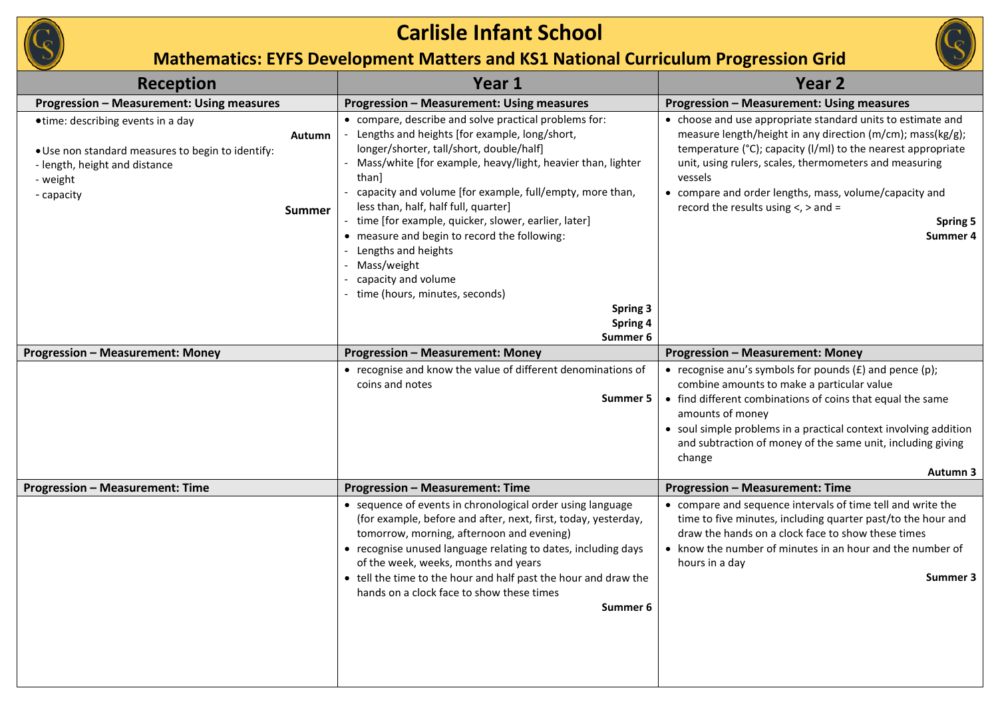

| Reception                                                                                                                                                                            | Year 1                                                                                                                                                                                                                                                                                                                                                                                                                                                                                                                                                                         | Year <sub>2</sub>                                                                                                                                                                                                                                                                                                                                                                              |
|--------------------------------------------------------------------------------------------------------------------------------------------------------------------------------------|--------------------------------------------------------------------------------------------------------------------------------------------------------------------------------------------------------------------------------------------------------------------------------------------------------------------------------------------------------------------------------------------------------------------------------------------------------------------------------------------------------------------------------------------------------------------------------|------------------------------------------------------------------------------------------------------------------------------------------------------------------------------------------------------------------------------------------------------------------------------------------------------------------------------------------------------------------------------------------------|
| <b>Progression - Measurement: Using measures</b>                                                                                                                                     | Progression - Measurement: Using measures                                                                                                                                                                                                                                                                                                                                                                                                                                                                                                                                      | Progression - Measurement: Using measures                                                                                                                                                                                                                                                                                                                                                      |
| • time: describing events in a day<br><b>Autumn</b><br>. Use non standard measures to begin to identify:<br>- length, height and distance<br>- weight<br>- capacity<br><b>Summer</b> | • compare, describe and solve practical problems for:<br>Lengths and heights [for example, long/short,<br>longer/shorter, tall/short, double/half]<br>- Mass/white [for example, heavy/light, heavier than, lighter<br>than]<br>capacity and volume [for example, full/empty, more than,<br>less than, half, half full, quarter]<br>- time [for example, quicker, slower, earlier, later]<br>• measure and begin to record the following:<br>Lengths and heights<br>Mass/weight<br>capacity and volume<br>- time (hours, minutes, seconds)<br>Spring 3<br>Spring 4<br>Summer 6 | • choose and use appropriate standard units to estimate and<br>measure length/height in any direction (m/cm); mass(kg/g);<br>temperature (°C); capacity (I/mI) to the nearest appropriate<br>unit, using rulers, scales, thermometers and measuring<br>vessels<br>• compare and order lengths, mass, volume/capacity and<br>record the results using $\lt$ , $>$ and =<br>Spring 5<br>Summer 4 |
| <b>Progression - Measurement: Money</b>                                                                                                                                              | <b>Progression - Measurement: Money</b>                                                                                                                                                                                                                                                                                                                                                                                                                                                                                                                                        | <b>Progression - Measurement: Money</b>                                                                                                                                                                                                                                                                                                                                                        |
|                                                                                                                                                                                      | • recognise and know the value of different denominations of<br>coins and notes<br>Summer 5                                                                                                                                                                                                                                                                                                                                                                                                                                                                                    | • recognise anu's symbols for pounds $(E)$ and pence $(p)$ ;<br>combine amounts to make a particular value<br>• find different combinations of coins that equal the same<br>amounts of money<br>• soul simple problems in a practical context involving addition<br>and subtraction of money of the same unit, including giving<br>change<br>Autumn 3                                          |
| <b>Progression - Measurement: Time</b>                                                                                                                                               | <b>Progression - Measurement: Time</b>                                                                                                                                                                                                                                                                                                                                                                                                                                                                                                                                         | <b>Progression - Measurement: Time</b>                                                                                                                                                                                                                                                                                                                                                         |
|                                                                                                                                                                                      | • sequence of events in chronological order using language<br>(for example, before and after, next, first, today, yesterday,<br>tomorrow, morning, afternoon and evening)<br>• recognise unused language relating to dates, including days<br>of the week, weeks, months and years<br>• tell the time to the hour and half past the hour and draw the<br>hands on a clock face to show these times<br>Summer 6                                                                                                                                                                 | • compare and sequence intervals of time tell and write the<br>time to five minutes, including quarter past/to the hour and<br>draw the hands on a clock face to show these times<br>• know the number of minutes in an hour and the number of<br>hours in a day<br>Summer 3                                                                                                                   |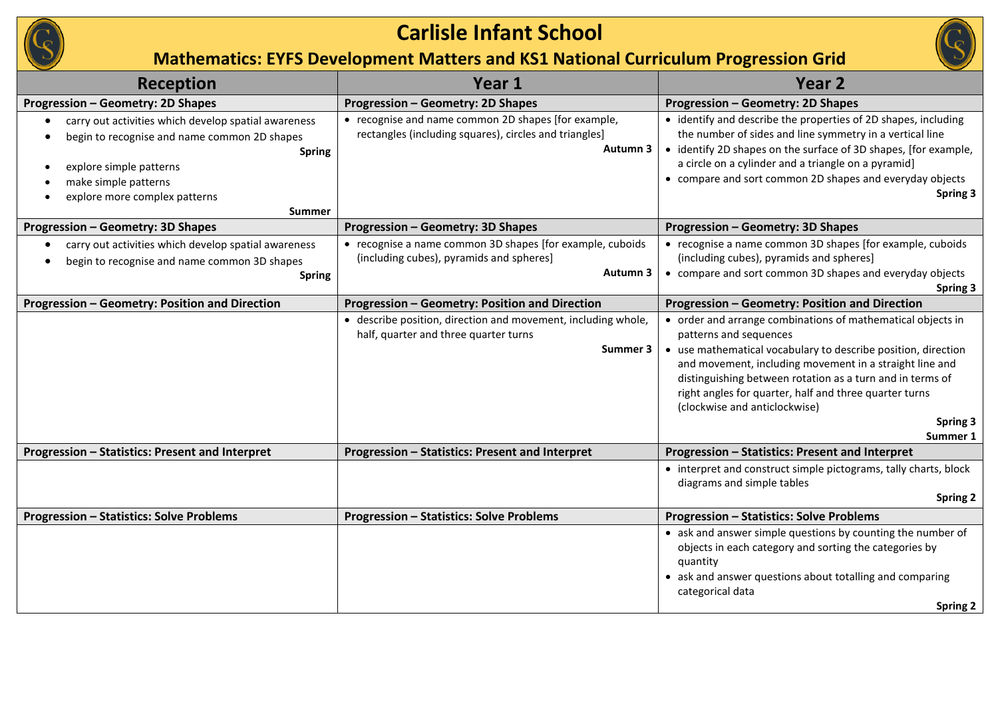

| <b>Reception</b>                                                                                                                                                                                                           | Year 1                                                                                                                    | Year <sub>2</sub>                                                                                                                                                                                                                                                                                                                                                                                 |
|----------------------------------------------------------------------------------------------------------------------------------------------------------------------------------------------------------------------------|---------------------------------------------------------------------------------------------------------------------------|---------------------------------------------------------------------------------------------------------------------------------------------------------------------------------------------------------------------------------------------------------------------------------------------------------------------------------------------------------------------------------------------------|
| <b>Progression - Geometry: 2D Shapes</b>                                                                                                                                                                                   | <b>Progression - Geometry: 2D Shapes</b>                                                                                  | <b>Progression - Geometry: 2D Shapes</b>                                                                                                                                                                                                                                                                                                                                                          |
| carry out activities which develop spatial awareness<br>begin to recognise and name common 2D shapes<br><b>Spring</b><br>explore simple patterns<br>make simple patterns<br>explore more complex patterns<br><b>Summer</b> | • recognise and name common 2D shapes [for example,<br>rectangles (including squares), circles and triangles]<br>Autumn 3 | • identify and describe the properties of 2D shapes, including<br>the number of sides and line symmetry in a vertical line<br>• identify 2D shapes on the surface of 3D shapes, [for example,<br>a circle on a cylinder and a triangle on a pyramid]<br>• compare and sort common 2D shapes and everyday objects<br>Spring 3                                                                      |
| <b>Progression - Geometry: 3D Shapes</b>                                                                                                                                                                                   | <b>Progression - Geometry: 3D Shapes</b>                                                                                  | <b>Progression - Geometry: 3D Shapes</b>                                                                                                                                                                                                                                                                                                                                                          |
| carry out activities which develop spatial awareness<br>begin to recognise and name common 3D shapes<br><b>Spring</b>                                                                                                      | • recognise a name common 3D shapes [for example, cuboids<br>(including cubes), pyramids and spheres]<br>Autumn 3         | • recognise a name common 3D shapes [for example, cuboids<br>(including cubes), pyramids and spheres]<br>• compare and sort common 3D shapes and everyday objects<br>Spring 3                                                                                                                                                                                                                     |
| Progression - Geometry: Position and Direction                                                                                                                                                                             | Progression - Geometry: Position and Direction                                                                            | Progression - Geometry: Position and Direction                                                                                                                                                                                                                                                                                                                                                    |
|                                                                                                                                                                                                                            | • describe position, direction and movement, including whole,<br>half, quarter and three quarter turns<br>Summer 3        | • order and arrange combinations of mathematical objects in<br>patterns and sequences<br>• use mathematical vocabulary to describe position, direction<br>and movement, including movement in a straight line and<br>distinguishing between rotation as a turn and in terms of<br>right angles for quarter, half and three quarter turns<br>(clockwise and anticlockwise)<br>Spring 3<br>Summer 1 |
| Progression - Statistics: Present and Interpret                                                                                                                                                                            | Progression - Statistics: Present and Interpret                                                                           | Progression - Statistics: Present and Interpret                                                                                                                                                                                                                                                                                                                                                   |
|                                                                                                                                                                                                                            |                                                                                                                           | • interpret and construct simple pictograms, tally charts, block<br>diagrams and simple tables<br><b>Spring 2</b>                                                                                                                                                                                                                                                                                 |
| <b>Progression - Statistics: Solve Problems</b>                                                                                                                                                                            | <b>Progression - Statistics: Solve Problems</b>                                                                           | <b>Progression - Statistics: Solve Problems</b>                                                                                                                                                                                                                                                                                                                                                   |
|                                                                                                                                                                                                                            |                                                                                                                           | • ask and answer simple questions by counting the number of<br>objects in each category and sorting the categories by<br>quantity<br>• ask and answer questions about totalling and comparing<br>categorical data<br>Spring 2                                                                                                                                                                     |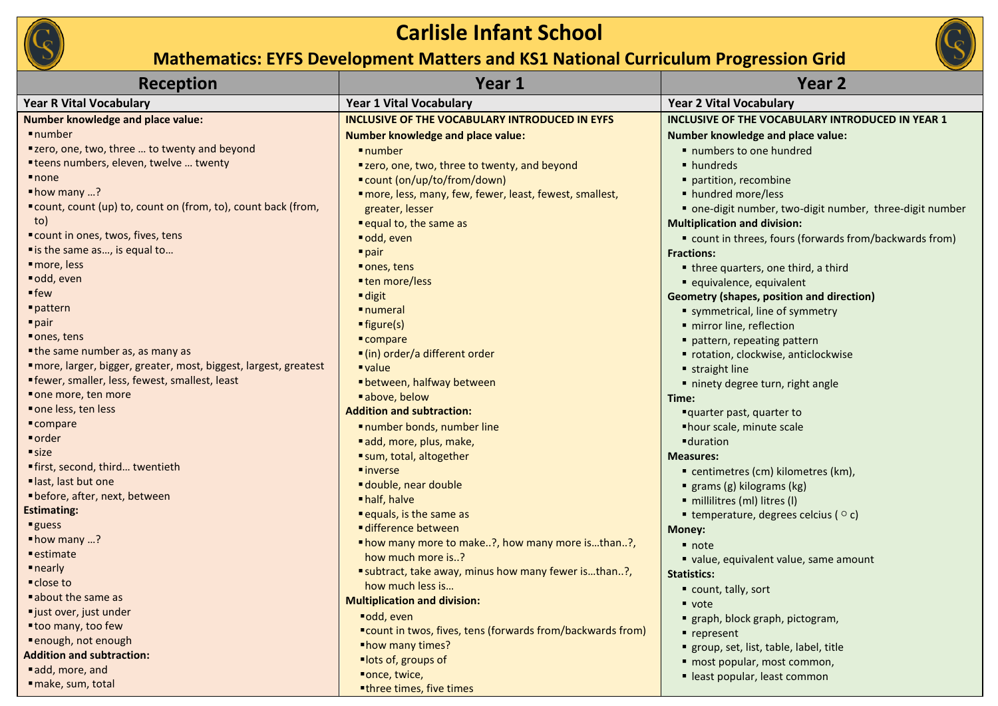

| <b>Reception</b>                                                 | Year 1                                                     | Year <sub>2</sub>                                        |
|------------------------------------------------------------------|------------------------------------------------------------|----------------------------------------------------------|
| <b>Year R Vital Vocabulary</b>                                   | <b>Year 1 Vital Vocabulary</b>                             | <b>Year 2 Vital Vocabulary</b>                           |
| <b>Number knowledge and place value:</b>                         | <b>INCLUSIVE OF THE VOCABULARY INTRODUCED IN EYFS</b>      | INCLUSIVE OF THE VOCABULARY INTRODUCED IN YEAR 1         |
| number                                                           | <b>Number knowledge and place value:</b>                   | Number knowledge and place value:                        |
| "zero, one, two, three  to twenty and beyond                     | $l$ number                                                 | numbers to one hundred                                   |
| "teens numbers, eleven, twelve  twenty                           | "zero, one, two, three to twenty, and beyond               | • hundreds                                               |
| $\blacksquare$ none                                              | ■ count (on/up/to/from/down)                               | partition, recombine                                     |
| $\blacksquare$ how many ?                                        | "more, less, many, few, fewer, least, fewest, smallest,    | • hundred more/less                                      |
| "count, count (up) to, count on (from, to), count back (from,    | greater, lesser                                            | • one-digit number, two-digit number, three-digit number |
| to)                                                              | equal to, the same as                                      | <b>Multiplication and division:</b>                      |
| "count in ones, twos, fives, tens                                | odd, even                                                  | " count in threes, fours (forwards from/backwards from)  |
| " is the same as, is equal to                                    | $\blacksquare$ pair                                        | <b>Fractions:</b>                                        |
| more, less                                                       | ■ ones, tens                                               | • three quarters, one third, a third                     |
| odd, even                                                        | ■ ten more/less                                            | equivalence, equivalent                                  |
| $=$ few                                                          | $\blacksquare$ digit                                       | <b>Geometry (shapes, position and direction)</b>         |
| pattern                                                          | <b>numeral</b>                                             | symmetrical, line of symmetry                            |
| $\blacksquare$ pair                                              | $\rule{1em}{0.15mm}$ figure(s)                             | · mirror line, reflection                                |
| ■ ones, tens                                                     | $\blacksquare$ compare                                     | pattern, repeating pattern                               |
| • the same number as, as many as                                 | ■ (in) order/a different order                             | • rotation, clockwise, anticlockwise                     |
| "more, larger, bigger, greater, most, biggest, largest, greatest | $\blacksquare$ value                                       | straight line                                            |
| <b>"</b> fewer, smaller, less, fewest, smallest, least           | ■ between, halfway between                                 | ninety degree turn, right angle                          |
| one more, ten more                                               | ■ above, below                                             | Time:                                                    |
| ■ one less, ten less                                             | <b>Addition and subtraction:</b>                           | "quarter past, quarter to                                |
| $\blacksquare$ compare                                           | number bonds, number line                                  | ■ hour scale, minute scale                               |
| ■ order                                                          | add, more, plus, make,                                     | <b>-</b> duration                                        |
| size                                                             | sum, total, altogether                                     | <b>Measures:</b>                                         |
| "first, second, third twentieth                                  | $\blacksquare$ inverse                                     | ■ centimetres (cm) kilometres (km),                      |
| last, last but one                                               | double, near double                                        | grams (g) kilograms (kg)                                 |
| • before, after, next, between                                   | • half, halve                                              | millilitres (ml) litres (l)                              |
| <b>Estimating:</b>                                               | equals, is the same as                                     | $\blacksquare$ temperature, degrees celcius ( $\circ$ c) |
| <b>guess</b>                                                     | difference between                                         | Money:                                                   |
| $\blacksquare$ how many ?                                        | " how many more to make?, how many more isthan?,           | $\blacksquare$ note                                      |
| ■ estimate                                                       | how much more is?                                          | value, equivalent value, same amount                     |
| $\blacksquare$ nearly<br>■ close to                              | "subtract, take away, minus how many fewer isthan?,        | <b>Statistics:</b>                                       |
|                                                                  | how much less is                                           | count, tally, sort                                       |
| ■ about the same as<br>"just over, just under                    | <b>Multiplication and division:</b>                        | ■ vote                                                   |
| "too many, too few                                               | ■odd, even                                                 | " graph, block graph, pictogram,                         |
| · enough, not enough                                             | ■count in twos, fives, tens (forwards from/backwards from) | ■ represent                                              |
| <b>Addition and subtraction:</b>                                 | "how many times?                                           | " group, set, list, table, label, title                  |
| add, more, and                                                   | ■lots of, groups of                                        | · most popular, most common,                             |
| make, sum, total                                                 | "once, twice,                                              | • least popular, least common                            |
|                                                                  | "three times, five times                                   |                                                          |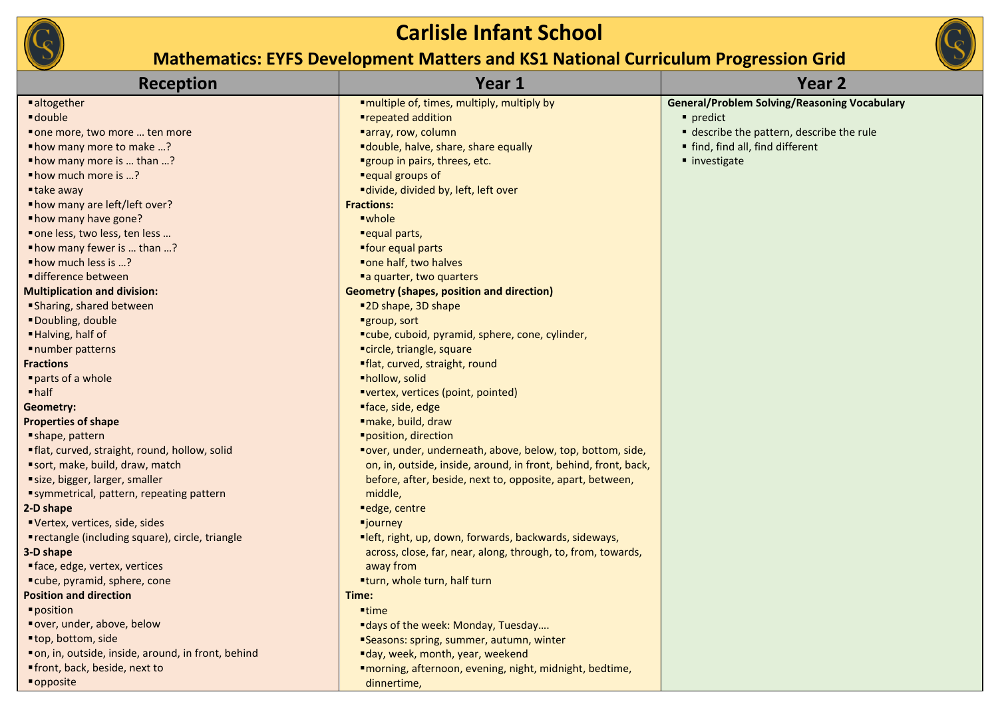

| <b>Reception</b>                                    | Year 1                                                          | Year <sub>2</sub>                                   |
|-----------------------------------------------------|-----------------------------------------------------------------|-----------------------------------------------------|
| ■ altogether                                        | ■multiple of, times, multiply, multiply by                      | <b>General/Problem Solving/Reasoning Vocabulary</b> |
| double -                                            | ■repeated addition                                              | predict                                             |
| " one more, two more  ten more                      | ■array, row, column                                             | describe the pattern, describe the rule             |
| "how many more to make ?                            | "double, halve, share, share equally                            | " find, find all, find different                    |
| "how many more is  than ?                           | "group in pairs, threes, etc.                                   | ■ investigate                                       |
| " how much more is ?                                | "equal groups of                                                |                                                     |
| ■ take away                                         | "divide, divided by, left, left over                            |                                                     |
| "how many are left/left over?                       | <b>Fractions:</b>                                               |                                                     |
| " how many have gone?                               | ■whole                                                          |                                                     |
| " one less, two less, ten less                      | ■ equal parts,                                                  |                                                     |
| "how many fewer is  than ?                          | "four equal parts                                               |                                                     |
| " how much less is ?                                | "one half, two halves                                           |                                                     |
| ■ difference between                                | "a quarter, two quarters                                        |                                                     |
| <b>Multiplication and division:</b>                 | <b>Geometry (shapes, position and direction)</b>                |                                                     |
| Sharing, shared between                             | ■2D shape, 3D shape                                             |                                                     |
| Doubling, double                                    | ■group, sort                                                    |                                                     |
| Halving, half of                                    | "cube, cuboid, pyramid, sphere, cone, cylinder,                 |                                                     |
| ■ number patterns                                   | "circle, triangle, square                                       |                                                     |
| <b>Fractions</b>                                    | "flat, curved, straight, round                                  |                                                     |
| parts of a whole                                    | ·hollow, solid                                                  |                                                     |
| $\blacksquare$ half                                 | "vertex, vertices (point, pointed)                              |                                                     |
| Geometry:                                           | "face, side, edge                                               |                                                     |
| <b>Properties of shape</b>                          | "make, build, draw                                              |                                                     |
| shape, pattern                                      | "position, direction                                            |                                                     |
| "flat, curved, straight, round, hollow, solid       | "over, under, underneath, above, below, top, bottom, side,      |                                                     |
| sort, make, build, draw, match                      | on, in, outside, inside, around, in front, behind, front, back, |                                                     |
| size, bigger, larger, smaller                       | before, after, beside, next to, opposite, apart, between,       |                                                     |
| "symmetrical, pattern, repeating pattern            | middle,                                                         |                                                     |
| 2-D shape                                           | edge, centre                                                    |                                                     |
| Vertex, vertices, side, sides                       | <b>"journey</b>                                                 |                                                     |
| ■ rectangle (including square), circle, triangle    | "left, right, up, down, forwards, backwards, sideways,          |                                                     |
| 3-D shape                                           | across, close, far, near, along, through, to, from, towards,    |                                                     |
| ■ face, edge, vertex, vertices                      | away from                                                       |                                                     |
| "cube, pyramid, sphere, cone                        | "turn, whole turn, half turn                                    |                                                     |
| <b>Position and direction</b>                       | Time:                                                           |                                                     |
| position                                            | $=$ time                                                        |                                                     |
| "over, under, above, below                          | "days of the week: Monday, Tuesday                              |                                                     |
| "top, bottom, side                                  | "Seasons: spring, summer, autumn, winter                        |                                                     |
| " on, in, outside, inside, around, in front, behind | "day, week, month, year, weekend                                |                                                     |
| "front, back, beside, next to                       | "morning, afternoon, evening, night, midnight, bedtime,         |                                                     |
| ■ opposite                                          | dinnertime,                                                     |                                                     |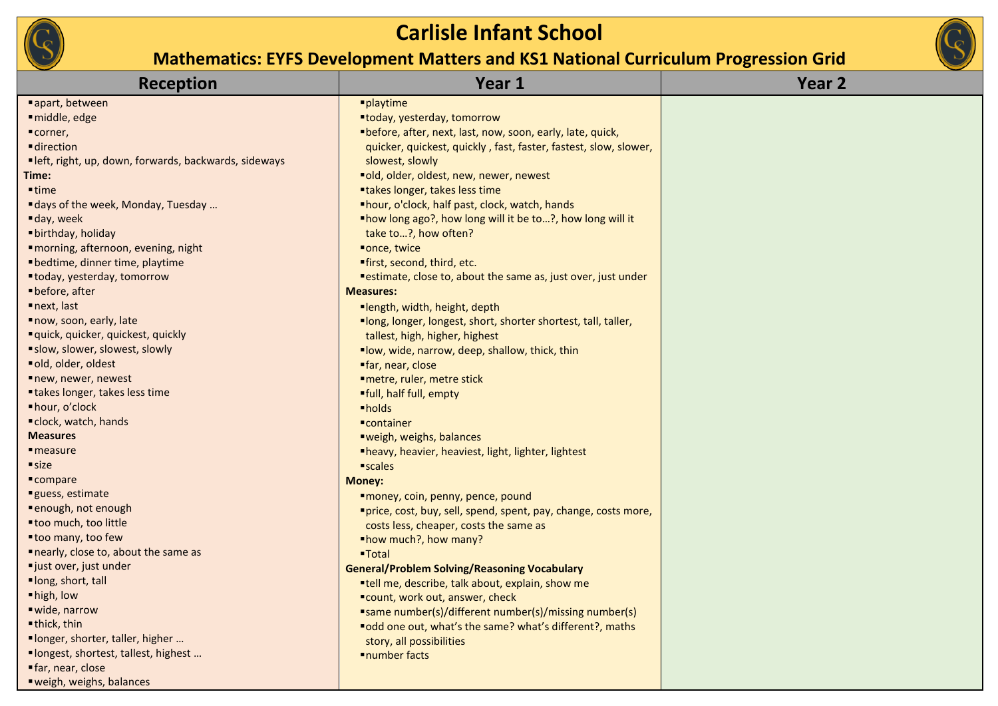

| <b>Reception</b>                                      | Year 1                                                           | Year <sub>2</sub> |
|-------------------------------------------------------|------------------------------------------------------------------|-------------------|
| ■ apart, between                                      | <i><b>-playtime</b></i>                                          |                   |
| middle, edge                                          | "today, yesterday, tomorrow                                      |                   |
| "corner,                                              | "before, after, next, last, now, soon, early, late, quick,       |                   |
| <b>direction</b>                                      | quicker, quickest, quickly, fast, faster, fastest, slow, slower, |                   |
| "left, right, up, down, forwards, backwards, sideways | slowest, slowly                                                  |                   |
| Time:                                                 | "old, older, oldest, new, newer, newest                          |                   |
| $^{\bullet}$ time                                     | "takes longer, takes less time                                   |                   |
| " days of the week, Monday, Tuesday                   | "hour, o'clock, half past, clock, watch, hands                   |                   |
| day, week                                             | "how long ago?, how long will it be to?, how long will it        |                   |
| "birthday, holiday                                    | take to?, how often?                                             |                   |
| "morning, afternoon, evening, night                   | "once, twice                                                     |                   |
| " bedtime, dinner time, playtime                      | "first, second, third, etc.                                      |                   |
| "today, yesterday, tomorrow                           | "estimate, close to, about the same as, just over, just under    |                   |
| ■ before, after                                       | <b>Measures:</b>                                                 |                   |
| next, last                                            | ■length, width, height, depth                                    |                   |
| now, soon, early, late                                | "long, longer, longest, short, shorter shortest, tall, taller,   |                   |
| " quick, quicker, quickest, quickly                   | tallest, high, higher, highest                                   |                   |
| "slow, slower, slowest, slowly                        | "low, wide, narrow, deep, shallow, thick, thin                   |                   |
| old, older, oldest                                    | "far, near, close                                                |                   |
| new, newer, newest                                    | ■ metre, ruler, metre stick                                      |                   |
| "takes longer, takes less time                        | "full, half full, empty                                          |                   |
| ■ hour, o'clock                                       | •holds                                                           |                   |
| " clock, watch, hands                                 | ■container                                                       |                   |
| <b>Measures</b>                                       | "weigh, weighs, balances                                         |                   |
| $\blacksquare$ measure                                | ■heavy, heavier, heaviest, light, lighter, lightest              |                   |
| size                                                  | <i><b>scales</b></i>                                             |                   |
| ■ compare                                             | <b>Money:</b>                                                    |                   |
| guess, estimate                                       | "money, coin, penny, pence, pound                                |                   |
| ■ enough, not enough                                  | "price, cost, buy, sell, spend, spent, pay, change, costs more,  |                   |
| "too much, too little                                 | costs less, cheaper, costs the same as                           |                   |
| "too many, too few                                    | "how much?, how many?                                            |                   |
| nearly, close to, about the same as                   | ■Total                                                           |                   |
| "just over, just under                                | <b>General/Problem Solving/Reasoning Vocabulary</b>              |                   |
| "long, short, tall                                    | "tell me, describe, talk about, explain, show me                 |                   |
| "high, low                                            | "count, work out, answer, check                                  |                   |
| ■ wide, narrow                                        | "same number(s)/different number(s)/missing number(s)            |                   |
| ■ thick, thin                                         | "odd one out, what's the same? what's different?, maths          |                   |
| "longer, shorter, taller, higher                      | story, all possibilities                                         |                   |
| "longest, shortest, tallest, highest                  | ■number facts                                                    |                   |
| far, near, close                                      |                                                                  |                   |
| ■ weigh, weighs, balances                             |                                                                  |                   |